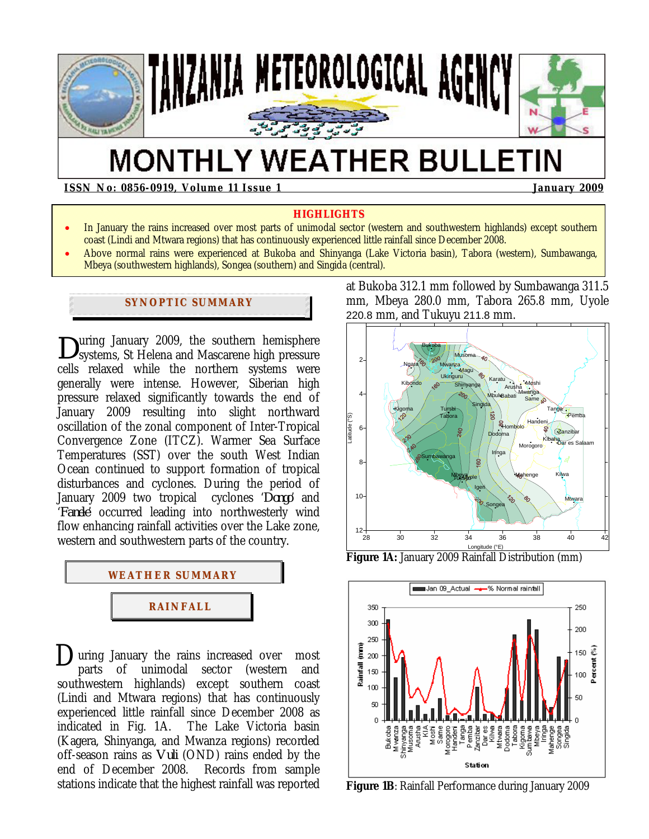

# **MONTHLY WEATHER BULLETIN**

**ISSN No: 0856-0919, Volume 11 Issue 1 January 2009** 

#### **HIGHLIGHTS**

- In January the rains increased over most parts of unimodal sector (western and southwestern highlands) except southern coast (Lindi and Mtwara regions) that has continuously experienced little rainfall since December 2008.
- Above normal rains were experienced at Bukoba and Shinyanga (Lake Victoria basin), Tabora (western), Sumbawanga, Mbeya (southwestern highlands), Songea (southern) and Singida (central).

# **SYNOPTIC SUMMARY**

uring January 2009, the southern hemisphere systems, St Helena and Mascarene high pressure cells relaxed while the northern systems were generally were intense. However, Siberian high pressure relaxed significantly towards the end of January 2009 resulting into slight northward oscillation of the zonal component of Inter-Tropical Convergence Zone (ITCZ). Warmer Sea Surface Temperatures (SST) over the south West Indian Ocean continued to support formation of tropical disturbances and cyclones. During the period of January 2009 two tropical cyclones '*Dongo*' and '*Fanele*' occurred leading into northwesterly wind flow enhancing rainfall activities over the Lake zone, western and southwestern parts of the country. *D*



**D**uring January the rains increased over most<br>parts of unimodal sector (western and parts of unimodal sector (western and southwestern highlands) except southern coast (Lindi and Mtwara regions) that has continuously experienced little rainfall since December 2008 as indicated in Fig. 1A. The Lake Victoria basin (Kagera, Shinyanga, and Mwanza regions) recorded off-season rains as *Vuli* (OND) rains ended by the end of December 2008. Records from sample stations indicate that the highest rainfall was reported

at Bukoba 312.1 mm followed by Sumbawanga 311.5 mm, Mbeya 280.0 mm, Tabora 265.8 mm, Uyole 220.8 mm, and Tukuyu 211.8 mm.



**Figure 1A:** January 2009 Rainfall Distribution (mm)



**Figure 1B**: Rainfall Performance during January 2009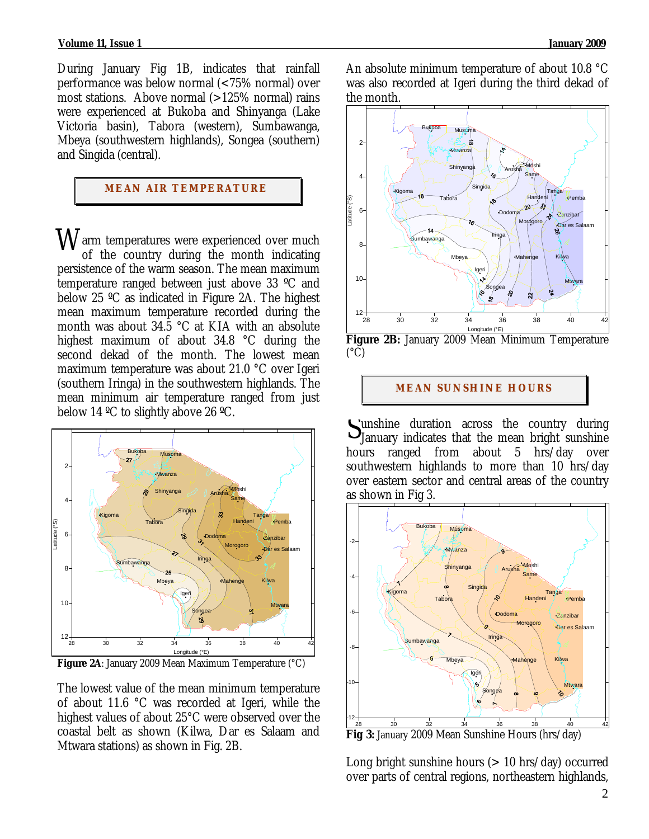#### **Volume 11, Issue 1 January 2009**

During January Fig 1B, indicates that rainfall performance was below normal (<75% normal) over most stations. Above normal  $(>125\%$  normal) rains were experienced at Bukoba and Shinyanga (Lake Victoria basin), Tabora (western), Sumbawanga, Mbeya (southwestern highlands), Songea (southern) and Singida (central).

# **MEAN AIR TEMPERATURE**

 $W$ arm temperatures were experienced over much<br>of the country during the month indicating of the country during the month indicating persistence of the warm season. The mean maximum temperature ranged between just above 33 ºC and below 25 ºC as indicated in Figure 2A. The highest mean maximum temperature recorded during the month was about 34.5 °C at KIA with an absolute highest maximum of about 34.8 °C during the second dekad of the month. The lowest mean maximum temperature was about 21.0 °C over Igeri (southern Iringa) in the southwestern highlands. The mean minimum air temperature ranged from just below 14 ºC to slightly above 26 ºC.



**Figure 2A**: January 2009 Mean Maximum Temperature (°C)

The lowest value of the mean minimum temperature of about 11.6 °C was recorded at Igeri, while the highest values of about 25°C were observed over the coastal belt as shown (Kilwa, Dar es Salaam and Mtwara stations) as shown in Fig. 2B.

An absolute minimum temperature of about 10.8 °C was also recorded at Igeri during the third dekad of the month.



**Figure 2B:** January 2009 Mean Minimum Temperature  $(^{\circ}C)$ 

#### **MEAN SUNSHINE HOURS**

unshine duration across the country during Sunshine duration across the country during<br>January indicates that the mean bright sunshine hours ranged from about 5 hrs/day over southwestern highlands to more than 10 hrs/day over eastern sector and central areas of the country as shown in Fig 3.



Long bright sunshine hours  $(> 10$  hrs/day) occurred over parts of central regions, northeastern highlands,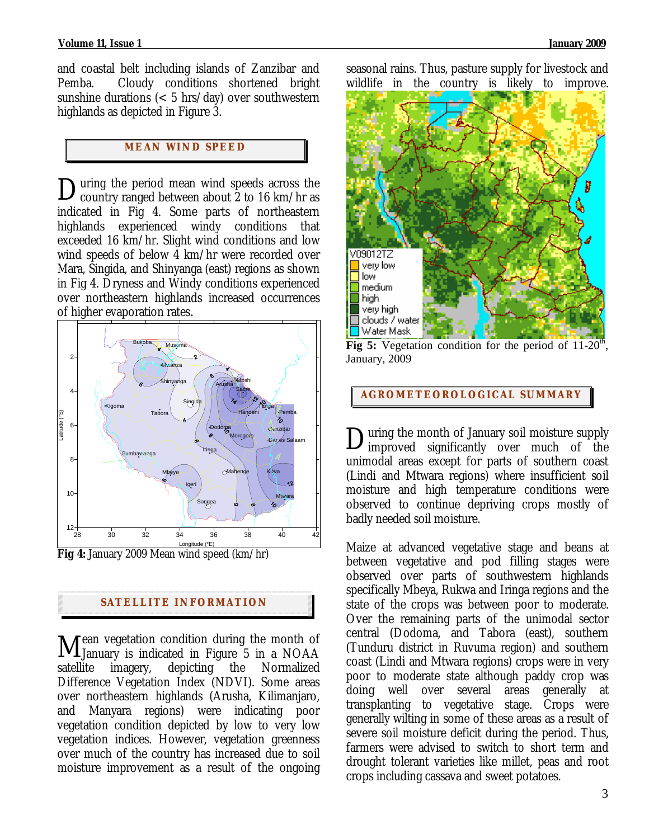and coastal belt including islands of Zanzibar and Pemba. Cloudy conditions shortened bright sunshine durations ( $< 5$  hrs/day) over southwestern highlands as depicted in Figure 3.

# **MEAN WI ND SPEED**

uring the period mean wind speeds across the During the period mean wind speeds across the country ranged between about 2 to 16 km/hr as indicated in Fig 4. Some parts of northeastern highlands experienced windy conditions that exceeded 16 km/hr. Slight wind conditions and low wind speeds of below 4 km/hr were recorded over Mara, Singida, and Shinyanga (east) regions as shown in Fig 4. Dryness and Windy conditions experienced over northeastern highlands increased occurrences of higher evaporation rates*.*



# **SATELLITE I NFORMATION**

ean vegetation condition during the month of **M**ean vegetation condition during the month of January is indicated in Figure 5 in a NOAA satellite imagery, depicting the Normalized Difference Vegetation Index (NDVI). Some areas over northeastern highlands (Arusha, Kilimanjaro, and Manyara regions) were indicating poor vegetation condition depicted by low to very low vegetation indices. However, vegetation greenness over much of the country has increased due to soil moisture improvement as a result of the ongoing

seasonal rains. Thus, pasture supply for livestock and wildlife in the country is likely to improve.



**Fig 5:** Vegetation condition for the period of 11-20<sup>th</sup> January, 2009

**AGROMETEOROLOGICAL SUMMARY**

**Nuring the month of January soil moisture supply** During the month of January soil moisture supply<br>improved significantly over much of the unimodal areas except for parts of southern coast (Lindi and Mtwara regions) where insufficient soil moisture and high temperature conditions were observed to continue depriving crops mostly of badly needed soil moisture.

Maize at advanced vegetative stage and beans at between vegetative and pod filling stages were observed over parts of southwestern highlands specifically Mbeya, Rukwa and Iringa regions and the state of the crops was between poor to moderate. Over the remaining parts of the unimodal sector central (Dodoma, and Tabora (east), southern (Tunduru district in Ruvuma region) and southern coast (Lindi and Mtwara regions) crops were in very poor to moderate state although paddy crop was doing well over several areas generally at transplanting to vegetative stage. Crops were generally wilting in some of these areas as a result of severe soil moisture deficit during the period. Thus, farmers were advised to switch to short term and drought tolerant varieties like millet, peas and root crops including cassava and sweet potatoes.